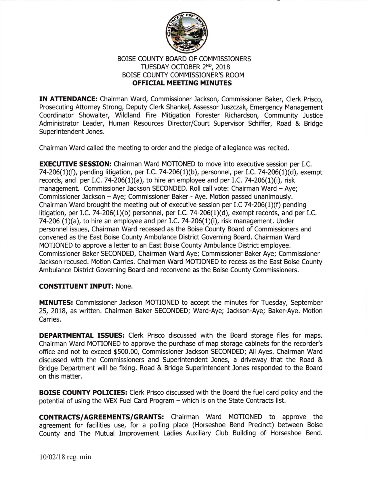

## BOISE COUNTY BOARD OF COMMISSIONERS TUESDAY OCTOBER 2ND, 2018 BOISE COUNTY COMMISSIONER'S ROOM OFFICIAL MEETING MINUTES

IN ATTENDANCE: Chairman Ward, Commissioner Jackson, Commissioner Baker, Clerk Prisco, Prosecuting Attorney Strong, Deputy Clerk Shankel, Assessor Juszczak, Emergency Management Coordinator Showalter, Wildland Fire Mitigation Forester Richardson, Community Justice Administrator Leader, Human Resources Director/Court Supervisor Schiffer, Road & Bridge Superintendent Jones.

Chairman Ward called the meeting to order and the pledge of allegiance was recited.

**EXECUTIVE SESSION:** Chairman Ward MOTIONED to move into executive session per I.C. 74-206(1)(f), pending litigation, per I.C. 74-206(1)(b), personnel, per I.C. 74-206(1)(d), exempt records, and per I.C. 74-206(1)(a), to hire an employee and per I.C. 74-206(1)(i), risk management. Commissioner Jackson SECONDED. Roll call vote: Chairman Ward - Aye; Commissioner Jackson - Aye; Commissioner Baker - Aye. Motion passed unanimously. Chairman Ward brought the meeting out of executive session per I.C 74-206(1)(f) pending litigation, per I.C. 74-206(1)(b) personnel, per I.C. 74-206(1)(d), exempt records, and per I.C. 74-206  $(1)(a)$ , to hire an employee and per I.C. 74-206 $(1)(i)$ , risk management. Under personnel issues, Chairman Ward recessed as the Boise County Board of Commissioners and convened as the East Boise County Ambulance District Governing Board. Chairman Ward MOTIONED to approve a letter to an East Boise County Ambulance District employee. Commissioner Baker SECONDED, Chairman Ward Aye; Commissioner Baker Aye; Commissioner lackson recused. Motion Carries. Chairman Ward MOTIONED to recess as the East Boise County Ambulance District Governing Board and reconvene as the Boise County Commissioners.

## CONSTITUENT INPUT: None.

MINUTES: Commissioner Jackson MOTIONED to accept the minutes for Tuesday, September 25, 2018, as written. Chairman Baker SECONDED; Ward-Aye; Jackson-Aye; Baker-Aye. Motion Carries.

DEPARTMENTAL ISSUES: Clerk Prisco discussed with the Board storage files for maps. Chairman Ward MOTIONED to approve the purchase of map storage cabinets for the recorder's office and not to exceed \$500.00, Commissioner Jackson SECONDED; All Ayes. Chairman Ward discussed with the Commissioners and Superintendent Jones, a driveway that the Road & Bridge Department will be fixing. Road & Bridge Superintendent Jones responded to the Board on this matter.

**BOISE COUNTY POLICIES:** Clerk Prisco discussed with the Board the fuel card policy and the potential of using the WEX Fuel Card Program - which is on the State Contracts list.

CONTRACTS/AGREEMENTS/GRANTS: Chairman Ward MOTIONED to approve the agreement for facilities use, for a polling place (Horseshoe Bend Precinct) between Boise County and The Mutual Improvement Ladies Auxiliary Club Building of Horseshoe Bend.